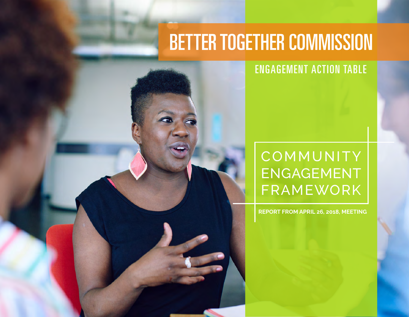## **BETTER TOGETHER COMMISSION**

#### ENGAGEMENT ACTION TABLE

### **COMMUNITY** ENGAGEMENT FRAMEWORK

**REPORT FROM APRIL 26, 2018, MEETING**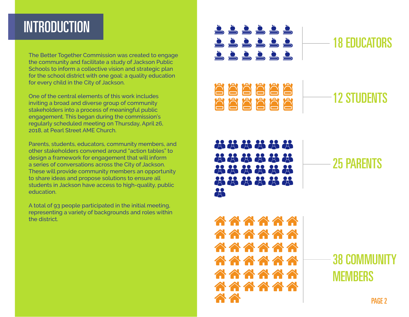#### **INTRODUCTION**

The Better Together Commission was created to engage the community and facilitate a study of Jackson Public Schools to inform a collective vision and strategic plan for the school district with one goal: a quality education for every child in the City of Jackson.

One of the central elements of this work includes inviting a broad and diverse group of community stakeholders into a process of meaningful public engagement. This began during the commission's regularly scheduled meeting on Thursday, April 26, 2018, at Pearl Street AME Church.

Parents, students, educators, community members, and other stakeholders convened around "action tables" to design a framework for engagement that will inform a series of conversations across the City of Jackson. These will provide community members an opportunity to share ideas and propose solutions to ensure all students in Jackson have access to high-quality, public education.

A total of 93 people participated in the initial meeting, representing a variety of backgrounds and roles within the district.

<u>ŠŠŠŠŠŠ</u> 18 EDUCATORS <u>ŠŠŠŠŠŠ</u> <u>ššššš</u> <u>AAAAAA</u> 12 STUDENTS <u>AAAAAA</u> \*\*\*\*\*\* 28.28.28 25 PARENTS 2323232 2232323 2 **AAAAAA AAAAAA AAAAAA 38 COMMUNIT AAAAA AAAAAA MEMBERS AAAAAA** PAG<sub>F</sub> 2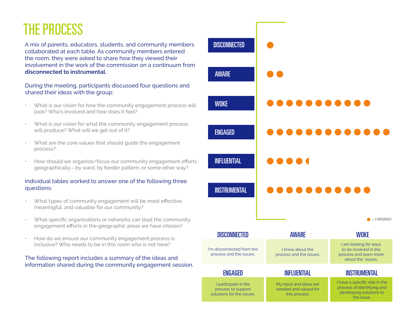### THE PROCESS

A mix of parents, educators, students, and community members collaborated at each table. As community members entered the room, they were asked to share how they viewed their involvement in the work of the commission on a continuum from **disconnected to instrumental**.

During the meeting, participants discussed four questions and shared their ideas with the group:

- What is our vision for how the community engagement process will look? Who's involved and how does it feel?
- What is our vision for what the community engagement process will produce? What will we get out of it?
- What are the core values that should guide the engagement process?
- How should we organize/focus our community engagement efforts geographically—by ward, by feeder pattern, or some other way?

#### Individual tables worked to answer one of the following three questions:

- What types of community engagement will be most effective, meaningful, and valuable for our community?
- What specific organizations or networks can lead the community engagement efforts in the geographic areas we have chosen?
- How do we ensure our community engagement process is inclusive? Who needs to be in this room who is not here?

#### The following report includes a summary of the ideas and information shared during the community engagement session.

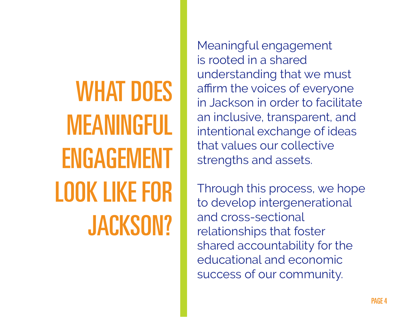WHAT DOES MEANINGFUL ENGAGEMENT LOOK LIKE FOR JACKSON?

Meaningful engagement is rooted in a shared understanding that we must affirm the voices of everyone in Jackson in order to facilitate an inclusive, transparent, and intentional exchange of ideas that values our collective strengths and assets.

Through this process, we hope to develop intergenerational and cross-sectional relationships that foster shared accountability for the educational and economic success of our community.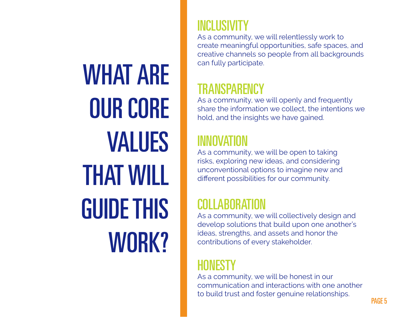WHAT ARE OUR CORE VALUES THAT WILL GUIDE THIS WORK?

#### INCLUSIVITY

As a community, we will relentlessly work to create meaningful opportunities, safe spaces, and creative channels so people from all backgrounds can fully participate.

#### TRANSPARENCY

As a community, we will openly and frequently share the information we collect, the intentions we hold, and the insights we have gained.

#### INNOVATION

As a community, we will be open to taking risks, exploring new ideas, and considering unconventional options to imagine new and different possibilities for our community.

#### COLLABORATION

As a community, we will collectively design and develop solutions that build upon one another's ideas, strengths, and assets and honor the contributions of every stakeholder.

#### HUNESTY

As a community, we will be honest in our communication and interactions with one another to build trust and foster genuine relationships.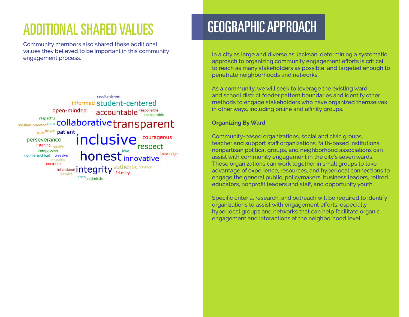### ADDITIONAL SHARED VALUES

Community members also shared these additional values they believed to be important in this community engagement process.



#### GEOGRAPHIC APPROACH

In a city as large and diverse as Jackson, determining a systematic approach to organizing community engagement efforts is critical to reach as many stakeholders as possible, and targeted enough to penetrate neighborhoods and networks.

As a community, we will seek to leverage the existing ward and school district feeder pattern boundaries and identify other methods to engage stakeholders who have organized themselves in other ways, including online and affinity groups.

#### **Organizing By Ward**

Community-based organizations, social and civic groups, teacher and support staff organizations, faith-based institutions, nonpartisan political groups, and neighborhood associations can assist with community engagement in the city's seven wards. These organizations can work together in small groups to take advantage of experience, resources, and hyperlocal connections to engage the general public, policymakers, business leaders, retired educators, nonprofit leaders and staff, and opportunity youth.

Specific criteria, research, and outreach will be required to identify organizations to assist with engagement efforts, especially hyperlocal groups and networks that can help facilitate organic engagement and interactions at the neighborhood level.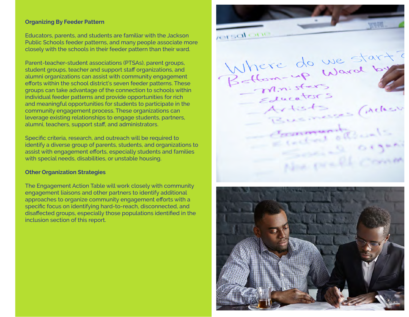#### **Organizing By Feeder Pattern**

Educators, parents, and students are familiar with the Jackson Public Schools feeder patterns, and many people associate more closely with the schools in their feeder pattern than their ward.

Parent-teacher-student associations (PTSAs), parent groups, student groups, teacher and support staff organizations, and alumni organizations can assist with community engagement efforts within the school district's seven feeder patterns. These groups can take advantage of the connection to schools within individual feeder patterns and provide opportunities for rich and meaningful opportunities for students to participate in the community engagement process. These organizations can leverage existing relationships to engage students, partners, alumni, teachers, support staff, and administrators.

Specific criteria, research, and outreach will be required to identify a diverse group of parents, students, and organizations to assist with engagement efforts, especially students and families with special needs, disabilities, or unstable housing.

#### **Other Organization Strategies**

The Engagement Action Table will work closely with community engagement liaisons and other partners to identify additional approaches to organize community engagement efforts with a specific focus on identifying hard-to-reach, disconnected, and disaffected groups, especially those populations identified in the inclusion section of this report.

rensal one Where do we start? M.n. sters Educators Artists Artists (Acker *<u>Accommunity</u>* Golden. Non practic Come

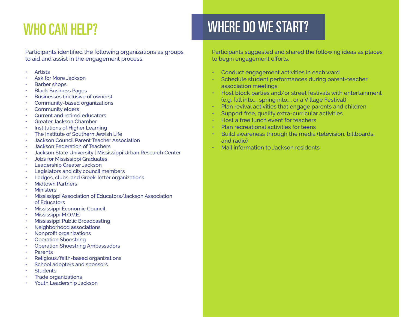### WHO CAN HELP?

Participants identified the following organizations as groups to aid and assist in the engagement process.

- **Artists**
- Ask for More Jackson
- Barber shops
- Black Business Pages
- Businesses (inclusive of owners)
- Community-based organizations
- Community elders
- Current and retired educators
- Greater Jackson Chamber
- Institutions of Higher Learning
- The Institute of Southern Jewish Life
- Jackson Council Parent Teacher Association
- Jackson Federation of Teachers
- Jackson State University | Mississippi Urban Research Center
- Jobs for Mississippi Graduates
- Leadership Greater Jackson
- Legislators and city council members
- Lodges, clubs, and Greek-letter organizations
- **Midtown Partners**
- **Ministers**
- Mississippi Association of Educators/Jackson Association of Educators
- Mississippi Economic Council
- Mississippi M.O.V.E.
- Mississippi Public Broadcasting
- Neighborhood associations
- Nonprofit organizations
- Operation Shoestring
- Operation Shoestring Ambassadors
- **Parents**
- Religious/faith-based organizations
- School adopters and sponsors
- **Students**
- Trade organizations
- Youth Leadership Jackson

## WHERE DO WE START?

Participants suggested and shared the following ideas as places to begin engagement efforts.

- Conduct engagement activities in each ward
- Schedule student performances during parent-teacher association meetings
- Host block parties and/or street festivals with entertainment (e.g. fall into..., spring into..., or a Village Festival)
- Plan revival activities that engage parents and children
- Support free, quality extra-curricular activities
- Host a free lunch event for teachers
- Plan recreational activities for teens
- Build awareness through the media (television, billboards, and radio)
- Mail information to Jackson residents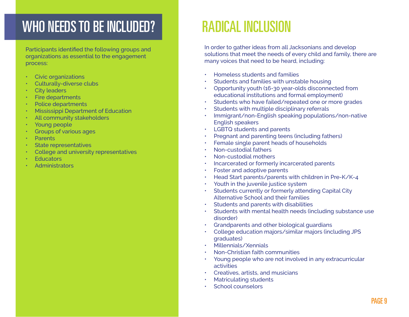#### WHO NEEDS TO BE INCLUDED?

Participants identified the following groups and organizations as essential to the engagement process:

- Civic organizations
- Culturally-diverse clubs
- **City leaders**
- Fire departments
- Police departments
- **Mississippi Department of Education**
- All community stakeholders
- Young people
- Groups of various ages
- Parents
- State representatives
- College and university representatives
- Educators
- **Administrators**

### RADICAL INCLUSION

In order to gather ideas from all Jacksonians and develop solutions that meet the needs of every child and family, there are many voices that need to be heard, including:

- Homeless students and families
- Students and families with unstable housing
- Opportunity youth (16-30 year-olds disconnected from educational institutions and formal employment)
- Students who have failed/repeated one or more grades
- Students with multiple disciplinary referrals
- Immigrant/non-English speaking populations/non-native English speakers
- LGBTQ students and parents
- Pregnant and parenting teens (including fathers)
- Female single parent heads of households
- Non-custodial fathers
- Non-custodial mothers
- Incarcerated or formerly incarcerated parents
- Foster and adoptive parents
- Head Start parents/parents with children in Pre-K/K-4
- Youth in the juvenile justice system
- Students currently or formerly attending Capital City Alternative School and their families
- Students and parents with disabilities
- Students with mental health needs (including substance use disorder)
- Grandparents and other biological guardians
- College education majors/similar majors (including JPS graduates)
- Millennials/Xennials
- Non-Christian faith communities
- Young people who are not involved in any extracurricular activities
- Creatives, artists, and musicians
- Matriculating students
- School counselors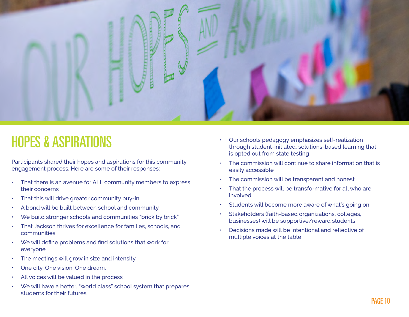

#### HOPES & ASPIRATIONS

Participants shared their hopes and aspirations for this community engagement process. Here are some of their responses:

- That there is an avenue for ALL community members to express their concerns
- That this will drive greater community buy-in
- A bond will be built between school and community
- We build stronger schools and communities "brick by brick"
- That Jackson thrives for excellence for families, schools, and communities
- We will define problems and find solutions that work for everyone
- The meetings will grow in size and intensity
- One city. One vision. One dream.
- All voices will be valued in the process
- We will have a better, "world class" school system that prepares students for their futures
- Our schools pedagogy emphasizes self-realization through student-initiated, solutions-based learning that is opted out from state testing
- The commission will continue to share information that is easily accessible
- The commission will be transparent and honest
- That the process will be transformative for all who are involved
- Students will become more aware of what's going on
- Stakeholders (faith-based organizations, colleges, businesses) will be supportive/reward students
- Decisions made will be intentional and reflective of multiple voices at the table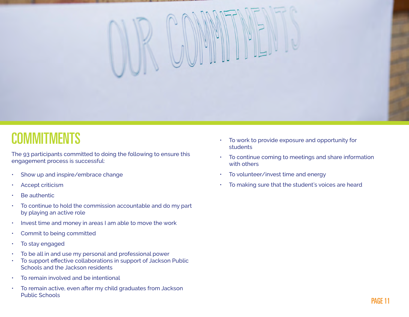

#### **COMMITMENTS**

The 93 participants committed to doing the following to ensure this engagement process is successful:

- Show up and inspire/embrace change
- Accept criticism
- Be authentic
- To continue to hold the commission accountable and do my part by playing an active role
- Invest time and money in areas I am able to move the work
- Commit to being committed
- To stay engaged
- To be all in and use my personal and professional power
- To support effective collaborations in support of Jackson Public Schools and the Jackson residents
- To remain involved and be intentional
- To remain active, even after my child graduates from Jackson Public Schools
- To work to provide exposure and opportunity for students
- To continue coming to meetings and share information with others
- To volunteer/invest time and energy
- To making sure that the student's voices are heard